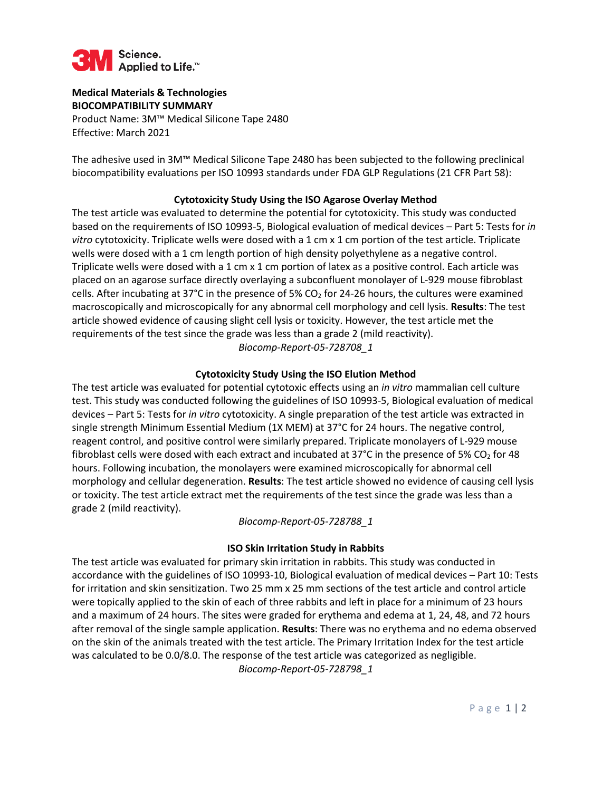

#### **Medical Materials & Technologies BIOCOMPATIBILITY SUMMARY**

Product Name: 3M™ Medical Silicone Tape 2480 Effective: March 2021

The adhesive used in 3M™ Medical Silicone Tape 2480 has been subjected to the following preclinical biocompatibility evaluations per ISO 10993 standards under FDA GLP Regulations (21 CFR Part 58):

# **Cytotoxicity Study Using the ISO Agarose Overlay Method**

The test article was evaluated to determine the potential for cytotoxicity. This study was conducted based on the requirements of ISO 10993-5, Biological evaluation of medical devices – Part 5: Tests for *in vitro* cytotoxicity. Triplicate wells were dosed with a 1 cm x 1 cm portion of the test article. Triplicate wells were dosed with a 1 cm length portion of high density polyethylene as a negative control. Triplicate wells were dosed with a 1 cm x 1 cm portion of latex as a positive control. Each article was placed on an agarose surface directly overlaying a subconfluent monolayer of L-929 mouse fibroblast cells. After incubating at 37°C in the presence of 5%  $CO<sub>2</sub>$  for 24-26 hours, the cultures were examined macroscopically and microscopically for any abnormal cell morphology and cell lysis. **Results**: The test article showed evidence of causing slight cell lysis or toxicity. However, the test article met the requirements of the test since the grade was less than a grade 2 (mild reactivity). *Biocomp-Report-05-728708\_1*

## **Cytotoxicity Study Using the ISO Elution Method**

The test article was evaluated for potential cytotoxic effects using an *in vitro* mammalian cell culture test. This study was conducted following the guidelines of ISO 10993-5, Biological evaluation of medical devices – Part 5: Tests for *in vitro* cytotoxicity. A single preparation of the test article was extracted in single strength Minimum Essential Medium (1X MEM) at 37°C for 24 hours. The negative control, reagent control, and positive control were similarly prepared. Triplicate monolayers of L-929 mouse fibroblast cells were dosed with each extract and incubated at 37°C in the presence of 5% CO<sub>2</sub> for 48 hours. Following incubation, the monolayers were examined microscopically for abnormal cell morphology and cellular degeneration. **Results**: The test article showed no evidence of causing cell lysis or toxicity. The test article extract met the requirements of the test since the grade was less than a grade 2 (mild reactivity).

*Biocomp-Report-05-728788\_1*

# **ISO Skin Irritation Study in Rabbits**

The test article was evaluated for primary skin irritation in rabbits. This study was conducted in accordance with the guidelines of ISO 10993-10, Biological evaluation of medical devices – Part 10: Tests for irritation and skin sensitization. Two 25 mm x 25 mm sections of the test article and control article were topically applied to the skin of each of three rabbits and left in place for a minimum of 23 hours and a maximum of 24 hours. The sites were graded for erythema and edema at 1, 24, 48, and 72 hours after removal of the single sample application. **Results**: There was no erythema and no edema observed on the skin of the animals treated with the test article. The Primary Irritation Index for the test article was calculated to be 0.0/8.0. The response of the test article was categorized as negligible. *Biocomp-Report-05-728798\_1*